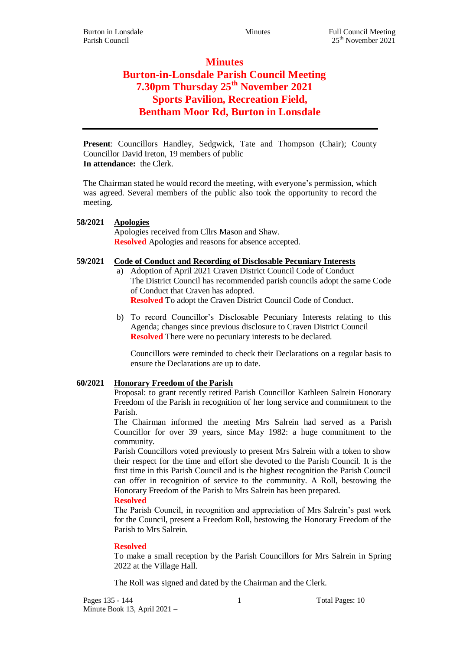# **Minutes Burton-in-Lonsdale Parish Council Meeting 7.30pm Thursday 25th November 2021 Sports Pavilion, Recreation Field, Bentham Moor Rd, Burton in Lonsdale**

**Present**: Councillors Handley, Sedgwick, Tate and Thompson (Chair); County Councillor David Ireton, 19 members of public **In attendance:** the Clerk.

The Chairman stated he would record the meeting, with everyone's permission, which was agreed. Several members of the public also took the opportunity to record the meeting.

## **58/2021 Apologies**

Apologies received from Cllrs Mason and Shaw. **Resolved** Apologies and reasons for absence accepted.

## **59/2021 Code of Conduct and Recording of Disclosable Pecuniary Interests**

- a) Adoption of April 2021 Craven District Council Code of Conduct The District Council has recommended parish councils adopt the same Code of Conduct that Craven has adopted. **Resolved** To adopt the Craven District Council Code of Conduct.
- b) To record Councillor's Disclosable Pecuniary Interests relating to this Agenda; changes since previous disclosure to Craven District Council **Resolved** There were no pecuniary interests to be declared.

Councillors were reminded to check their Declarations on a regular basis to ensure the Declarations are up to date.

# **60/2021 Honorary Freedom of the Parish**

Proposal: to grant recently retired Parish Councillor Kathleen Salrein Honorary Freedom of the Parish in recognition of her long service and commitment to the Parish.

The Chairman informed the meeting Mrs Salrein had served as a Parish Councillor for over 39 years, since May 1982: a huge commitment to the community.

Parish Councillors voted previously to present Mrs Salrein with a token to show their respect for the time and effort she devoted to the Parish Council. It is the first time in this Parish Council and is the highest recognition the Parish Council can offer in recognition of service to the community. A Roll, bestowing the Honorary Freedom of the Parish to Mrs Salrein has been prepared.

#### **Resolved**

The Parish Council, in recognition and appreciation of Mrs Salrein's past work for the Council, present a Freedom Roll, bestowing the Honorary Freedom of the Parish to Mrs Salrein.

#### **Resolved**

To make a small reception by the Parish Councillors for Mrs Salrein in Spring 2022 at the Village Hall.

The Roll was signed and dated by the Chairman and the Clerk.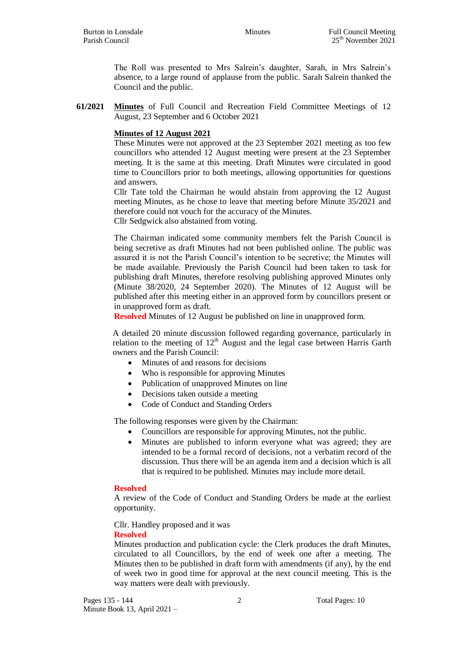The Roll was presented to Mrs Salrein's daughter, Sarah, in Mrs Salrein's absence, to a large round of applause from the public. Sarah Salrein thanked the Council and the public.

**61/2021 Minutes** of Full Council and Recreation Field Committee Meetings of 12 August, 23 September and 6 October 2021

## **Minutes of 12 August 2021**

These Minutes were not approved at the 23 September 2021 meeting as too few councillors who attended 12 August meeting were present at the 23 September meeting. It is the same at this meeting. Draft Minutes were circulated in good time to Councillors prior to both meetings, allowing opportunities for questions and answers.

Cllr Tate told the Chairman he would abstain from approving the 12 August meeting Minutes, as he chose to leave that meeting before Minute 35/2021 and therefore could not vouch for the accuracy of the Minutes.

Cllr Sedgwick also abstained from voting.

The Chairman indicated some community members felt the Parish Council is being secretive as draft Minutes had not been published online. The public was assured it is not the Parish Council's intention to be secretive; the Minutes will be made available. Previously the Parish Council had been taken to task for publishing draft Minutes, therefore resolving publishing approved Minutes only (Minute 38/2020, 24 September 2020). The Minutes of 12 August will be published after this meeting either in an approved form by councillors present or in unapproved form as draft.

**Resolved** Minutes of 12 August be published on line in unapproved form.

A detailed 20 minute discussion followed regarding governance, particularly in relation to the meeting of  $12<sup>th</sup>$  August and the legal case between Harris Garth owners and the Parish Council:

- Minutes of and reasons for decisions
- Who is responsible for approving Minutes
- Publication of unapproved Minutes on line
- Decisions taken outside a meeting
- Code of Conduct and Standing Orders

The following responses were given by the Chairman:

- Councillors are responsible for approving Minutes, not the public.
- Minutes are published to inform everyone what was agreed; they are intended to be a formal record of decisions, not a verbatim record of the discussion. Thus there will be an agenda item and a decision which is all that is required to be published. Minutes may include more detail.

#### **Resolved**

A review of the Code of Conduct and Standing Orders be made at the earliest opportunity.

Cllr. Handley proposed and it was

#### **Resolved**

Minutes production and publication cycle: the Clerk produces the draft Minutes, circulated to all Councillors, by the end of week one after a meeting. The Minutes then to be published in draft form with amendments (if any), by the end of week two in good time for approval at the next council meeting. This is the way matters were dealt with previously.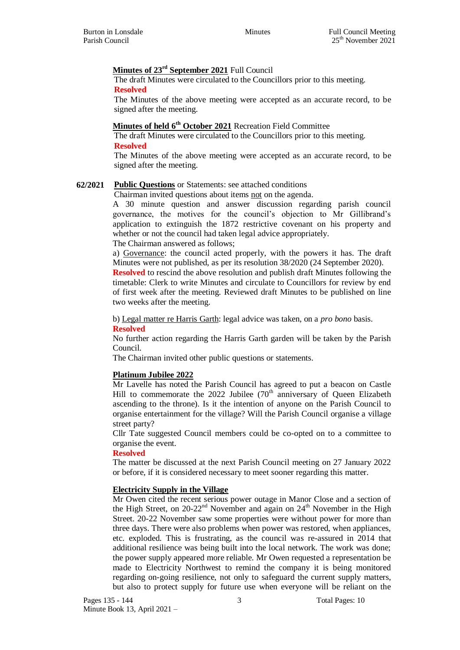#### **Minutes of 23rd September 2021** Full Council

The draft Minutes were circulated to the Councillors prior to this meeting. **Resolved**

The Minutes of the above meeting were accepted as an accurate record, to be signed after the meeting.

# **Minutes of held 6th October 2021** Recreation Field Committee

The draft Minutes were circulated to the Councillors prior to this meeting. **Resolved**

The Minutes of the above meeting were accepted as an accurate record, to be signed after the meeting.

## **62/2021 Public Questions** or Statements: see attached conditions

Chairman invited questions about items not on the agenda.

A 30 minute question and answer discussion regarding parish council governance, the motives for the council's objection to Mr Gillibrand's application to extinguish the 1872 restrictive covenant on his property and whether or not the council had taken legal advice appropriately.

#### The Chairman answered as follows;

a) Governance: the council acted properly, with the powers it has. The draft Minutes were not published, as per its resolution 38/2020 (24 September 2020).

**Resolved** to rescind the above resolution and publish draft Minutes following the timetable: Clerk to write Minutes and circulate to Councillors for review by end of first week after the meeting. Reviewed draft Minutes to be published on line two weeks after the meeting.

b) Legal matter re Harris Garth: legal advice was taken, on a *pro bono* basis. **Resolved**

No further action regarding the Harris Garth garden will be taken by the Parish Council.

The Chairman invited other public questions or statements.

#### **Platinum Jubilee 2022**

Mr Lavelle has noted the Parish Council has agreed to put a beacon on Castle Hill to commemorate the 2022 Jubilee  $(70<sup>th</sup>$  anniversary of Queen Elizabeth ascending to the throne). Is it the intention of anyone on the Parish Council to organise entertainment for the village? Will the Parish Council organise a village street party?

Cllr Tate suggested Council members could be co-opted on to a committee to organise the event.

#### **Resolved**

The matter be discussed at the next Parish Council meeting on 27 January 2022 or before, if it is considered necessary to meet sooner regarding this matter.

#### **Electricity Supply in the Village**

Mr Owen cited the recent serious power outage in Manor Close and a section of the High Street, on  $20-22<sup>nd</sup>$  November and again on  $24<sup>th</sup>$  November in the High Street. 20-22 November saw some properties were without power for more than three days. There were also problems when power was restored, when appliances, etc. exploded. This is frustrating, as the council was re-assured in 2014 that additional resilience was being built into the local network. The work was done; the power supply appeared more reliable. Mr Owen requested a representation be made to Electricity Northwest to remind the company it is being monitored regarding on-going resilience, not only to safeguard the current supply matters, but also to protect supply for future use when everyone will be reliant on the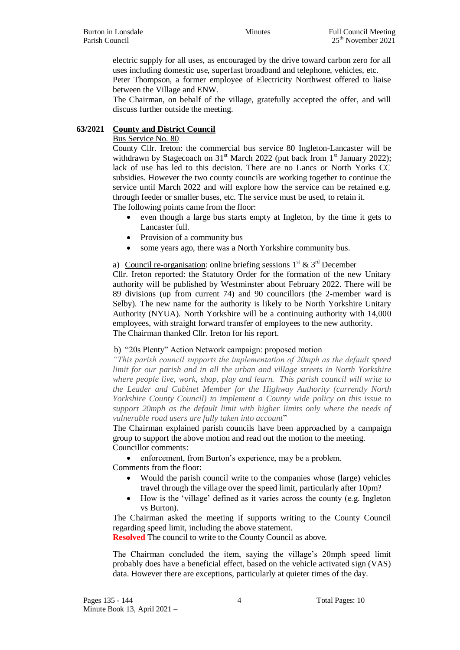electric supply for all uses, as encouraged by the drive toward carbon zero for all uses including domestic use, superfast broadband and telephone, vehicles, etc.

Peter Thompson, a former employee of Electricity Northwest offered to liaise between the Village and ENW.

The Chairman, on behalf of the village, gratefully accepted the offer, and will discuss further outside the meeting.

# **63/2021 County and District Council**

#### Bus Service No. 80

County Cllr. Ireton: the commercial bus service 80 Ingleton-Lancaster will be withdrawn by Stagecoach on  $31<sup>st</sup>$  March 2022 (put back from  $1<sup>st</sup>$  January 2022); lack of use has led to this decision. There are no Lancs or North Yorks CC subsidies. However the two county councils are working together to continue the service until March 2022 and will explore how the service can be retained e.g. through feeder or smaller buses, etc. The service must be used, to retain it. The following points came from the floor:

- even though a large bus starts empty at Ingleton, by the time it gets to Lancaster full.
- Provision of a community bus
- some years ago, there was a North Yorkshire community bus.

a) Council re-organisation: online briefing sessions  $1^{st} \& 3^{rd}$  December Cllr. Ireton reported: the Statutory Order for the formation of the new Unitary authority will be published by Westminster about February 2022. There will be 89 divisions (up from current 74) and 90 councillors (the 2-member ward is Selby). The new name for the authority is likely to be North Yorkshire Unitary Authority (NYUA). North Yorkshire will be a continuing authority with 14,000 employees, with straight forward transfer of employees to the new authority. The Chairman thanked Cllr. Ireton for his report.

#### b) "20s Plenty" Action Network campaign: proposed motion

*"This parish council supports the implementation of 20mph as the default speed limit for our parish and in all the urban and village streets in North Yorkshire where people live, work, shop, play and learn. This parish council will write to the Leader and Cabinet Member for the Highway Authority (currently North Yorkshire County Council) to implement a County wide policy on this issue to support 20mph as the default limit with higher limits only where the needs of vulnerable road users are fully taken into account*"

The Chairman explained parish councils have been approached by a campaign group to support the above motion and read out the motion to the meeting. Councillor comments:

enforcement, from Burton's experience, may be a problem.

Comments from the floor:

- Would the parish council write to the companies whose (large) vehicles travel through the village over the speed limit, particularly after 10pm?
- How is the 'village' defined as it varies across the county (e.g. Ingleton vs Burton).

The Chairman asked the meeting if supports writing to the County Council regarding speed limit, including the above statement.

**Resolved** The council to write to the County Council as above.

The Chairman concluded the item, saying the village's 20mph speed limit probably does have a beneficial effect, based on the vehicle activated sign (VAS) data. However there are exceptions, particularly at quieter times of the day.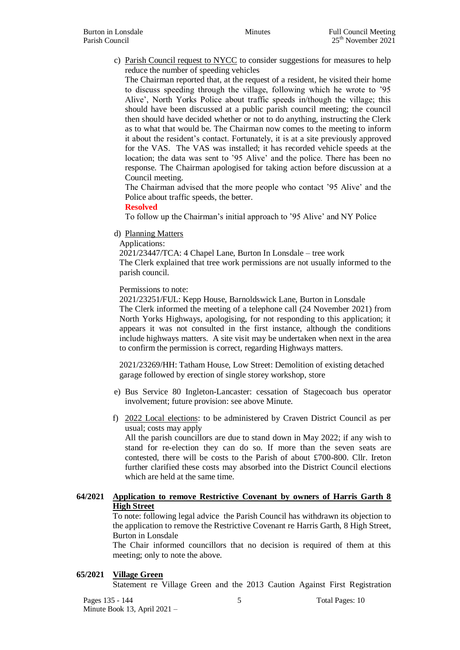c) Parish Council request to NYCC to consider suggestions for measures to help reduce the number of speeding vehicles

The Chairman reported that, at the request of a resident, he visited their home to discuss speeding through the village, following which he wrote to '95 Alive', North Yorks Police about traffic speeds in/though the village; this should have been discussed at a public parish council meeting; the council then should have decided whether or not to do anything, instructing the Clerk as to what that would be. The Chairman now comes to the meeting to inform it about the resident's contact. Fortunately, it is at a site previously approved for the VAS. The VAS was installed; it has recorded vehicle speeds at the location; the data was sent to '95 Alive' and the police. There has been no response. The Chairman apologised for taking action before discussion at a Council meeting.

The Chairman advised that the more people who contact '95 Alive' and the Police about traffic speeds, the better.

#### **Resolved**

To follow up the Chairman's initial approach to '95 Alive' and NY Police

d) Planning Matters

#### Applications:

2021/23447/TCA: 4 Chapel Lane, Burton In Lonsdale – tree work The Clerk explained that tree work permissions are not usually informed to the parish council.

#### Permissions to note:

2021/23251/FUL: Kepp House, Barnoldswick Lane, Burton in Lonsdale

The Clerk informed the meeting of a telephone call (24 November 2021) from North Yorks Highways, apologising, for not responding to this application; it appears it was not consulted in the first instance, although the conditions include highways matters. A site visit may be undertaken when next in the area to confirm the permission is correct, regarding Highways matters.

2021/23269/HH: Tatham House, Low Street: Demolition of existing detached garage followed by erection of single storey workshop, store

- e) Bus Service 80 Ingleton-Lancaster: cessation of Stagecoach bus operator involvement; future provision: see above Minute.
- f) 2022 Local elections: to be administered by Craven District Council as per usual; costs may apply

All the parish councillors are due to stand down in May 2022; if any wish to stand for re-election they can do so. If more than the seven seats are contested, there will be costs to the Parish of about £700-800. Cllr. Ireton further clarified these costs may absorbed into the District Council elections which are held at the same time.

## **64/2021 Application to remove Restrictive Covenant by owners of Harris Garth 8 High Street**

To note: following legal advice the Parish Council has withdrawn its objection to the application to remove the Restrictive Covenant re Harris Garth, 8 High Street, Burton in Lonsdale

The Chair informed councillors that no decision is required of them at this meeting; only to note the above.

#### **65/2021 Village Green**

Statement re Village Green and the 2013 Caution Against First Registration

Pages 135 - 144 5 Total Pages: 10 Minute Book 13, April 2021 –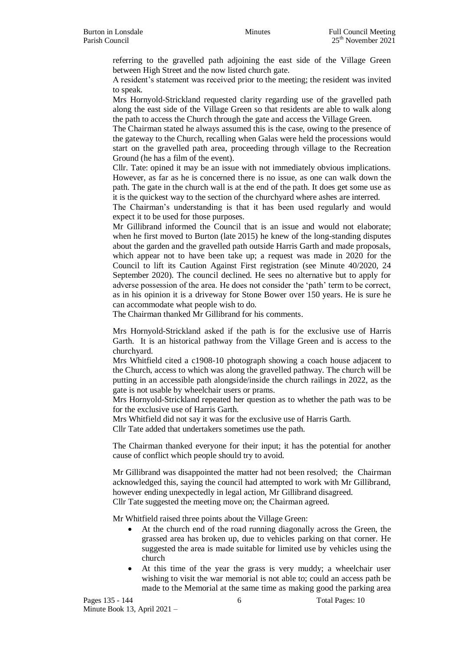referring to the gravelled path adjoining the east side of the Village Green between High Street and the now listed church gate.

A resident's statement was received prior to the meeting; the resident was invited to speak.

Mrs Hornyold-Strickland requested clarity regarding use of the gravelled path along the east side of the Village Green so that residents are able to walk along the path to access the Church through the gate and access the Village Green.

The Chairman stated he always assumed this is the case, owing to the presence of the gateway to the Church, recalling when Galas were held the processions would start on the gravelled path area, proceeding through village to the Recreation Ground (he has a film of the event).

Cllr. Tate: opined it may be an issue with not immediately obvious implications. However, as far as he is concerned there is no issue, as one can walk down the path. The gate in the church wall is at the end of the path. It does get some use as it is the quickest way to the section of the churchyard where ashes are interred.

The Chairman's understanding is that it has been used regularly and would expect it to be used for those purposes.

Mr Gillibrand informed the Council that is an issue and would not elaborate; when he first moved to Burton (late 2015) he knew of the long-standing disputes about the garden and the gravelled path outside Harris Garth and made proposals, which appear not to have been take up; a request was made in 2020 for the Council to lift its Caution Against First registration (see Minute 40/2020, 24 September 2020). The council declined. He sees no alternative but to apply for adverse possession of the area. He does not consider the 'path' term to be correct, as in his opinion it is a driveway for Stone Bower over 150 years. He is sure he can accommodate what people wish to do.

The Chairman thanked Mr Gillibrand for his comments.

Mrs Hornyold-Strickland asked if the path is for the exclusive use of Harris Garth. It is an historical pathway from the Village Green and is access to the churchyard.

Mrs Whitfield cited a c1908-10 photograph showing a coach house adjacent to the Church, access to which was along the gravelled pathway. The church will be putting in an accessible path alongside/inside the church railings in 2022, as the gate is not usable by wheelchair users or prams.

Mrs Hornyold-Strickland repeated her question as to whether the path was to be for the exclusive use of Harris Garth.

Mrs Whitfield did not say it was for the exclusive use of Harris Garth.

Cllr Tate added that undertakers sometimes use the path.

The Chairman thanked everyone for their input; it has the potential for another cause of conflict which people should try to avoid.

Mr Gillibrand was disappointed the matter had not been resolved; the Chairman acknowledged this, saying the council had attempted to work with Mr Gillibrand, however ending unexpectedly in legal action, Mr Gillibrand disagreed. Cllr Tate suggested the meeting move on; the Chairman agreed.

Mr Whitfield raised three points about the Village Green:

- At the church end of the road running diagonally across the Green, the grassed area has broken up, due to vehicles parking on that corner. He suggested the area is made suitable for limited use by vehicles using the church
- At this time of the year the grass is very muddy; a wheelchair user wishing to visit the war memorial is not able to; could an access path be made to the Memorial at the same time as making good the parking area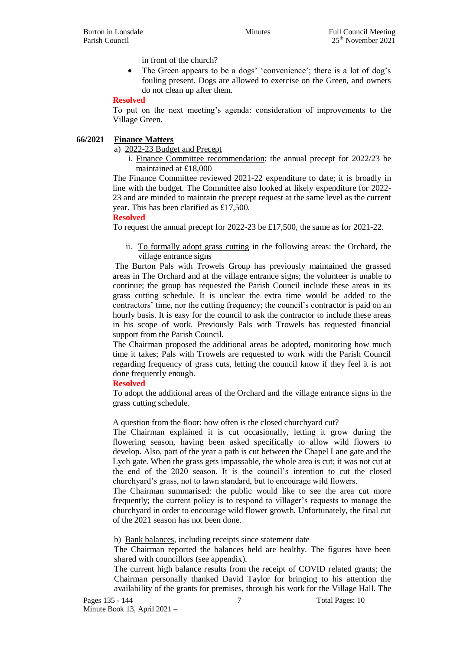in front of the church?

• The Green appears to be a dogs' 'convenience'; there is a lot of dog's fouling present. Dogs are allowed to exercise on the Green, and owners do not clean up after them.

#### **Resolved**

To put on the next meeting's agenda: consideration of improvements to the Village Green.

## **66/2021 Finance Matters**

a) 2022-23 Budget and Precept

i. Finance Committee recommendation: the annual precept for 2022/23 be maintained at £18,000

The Finance Committee reviewed 2021-22 expenditure to date; it is broadly in line with the budget. The Committee also looked at likely expenditure for 2022- 23 and are minded to maintain the precept request at the same level as the current year. This has been clarified as £17,500.

## **Resolved**

To request the annual precept for 2022-23 be £17,500, the same as for 2021-22.

ii. To formally adopt grass cutting in the following areas: the Orchard, the village entrance signs

The Burton Pals with Trowels Group has previously maintained the grassed areas in The Orchard and at the village entrance signs; the volunteer is unable to continue; the group has requested the Parish Council include these areas in its grass cutting schedule. It is unclear the extra time would be added to the contractors' time, nor the cutting frequency; the council's contractor is paid on an hourly basis. It is easy for the council to ask the contractor to include these areas in his scope of work. Previously Pals with Trowels has requested financial support from the Parish Council.

The Chairman proposed the additional areas be adopted, monitoring how much time it takes; Pals with Trowels are requested to work with the Parish Council regarding frequency of grass cuts, letting the council know if they feel it is not done frequently enough.

#### **Resolved**

To adopt the additional areas of the Orchard and the village entrance signs in the grass cutting schedule.

A question from the floor: how often is the closed churchyard cut?

The Chairman explained it is cut occasionally, letting it grow during the flowering season, having been asked specifically to allow wild flowers to develop. Also, part of the year a path is cut between the Chapel Lane gate and the Lych gate. When the grass gets impassable, the whole area is cut; it was not cut at the end of the 2020 season. It is the council's intention to cut the closed churchyard's grass, not to lawn standard, but to encourage wild flowers.

The Chairman summarised: the public would like to see the area cut more frequently; the current policy is to respond to villager's requests to manage the churchyard in order to encourage wild flower growth. Unfortunately, the final cut of the 2021 season has not been done.

b) Bank balances, including receipts since statement date

The Chairman reported the balances held are healthy. The figures have been shared with councillors (see appendix).

The current high balance results from the receipt of COVID related grants; the Chairman personally thanked David Taylor for bringing to his attention the availability of the grants for premises, through his work for the Village Hall. The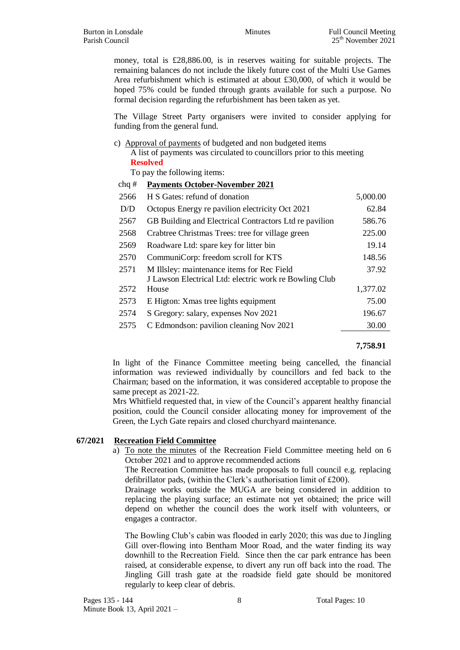money, total is £28,886.00, is in reserves waiting for suitable projects. The remaining balances do not include the likely future cost of the Multi Use Games Area refurbishment which is estimated at about £30,000, of which it would be hoped 75% could be funded through grants available for such a purpose. No formal decision regarding the refurbishment has been taken as yet.

The Village Street Party organisers were invited to consider applying for funding from the general fund.

c) Approval of payments of budgeted and non budgeted items

A list of payments was circulated to councillors prior to this meeting **Resolved**

To pay the following items:

#### chq # **Payments October-November 2021**

| 2566 | H S Gates: refund of donation                          | 5,000.00 |
|------|--------------------------------------------------------|----------|
| D/D  | Octopus Energy re pavilion electricity Oct 2021        | 62.84    |
| 2567 | GB Building and Electrical Contractors Ltd re pavilion | 586.76   |
| 2568 | Crabtree Christmas Trees: tree for village green       | 225.00   |
| 2569 | Roadware Ltd: spare key for litter bin                 | 19.14    |
| 2570 | CommuniCorp: freedom scroll for KTS                    | 148.56   |
| 2571 | M Illsley: maintenance items for Rec Field             | 37.92    |
|      | J Lawson Electrical Ltd: electric work re Bowling Club |          |
| 2572 | House                                                  | 1,377.02 |
| 2573 | E Higton: Xmas tree lights equipment                   | 75.00    |
| 2574 | S Gregory: salary, expenses Nov 2021                   | 196.67   |
| 2575 | C Edmondson: pavilion cleaning Nov 2021                | 30.00    |

#### **7,758.91**

In light of the Finance Committee meeting being cancelled, the financial information was reviewed individually by councillors and fed back to the Chairman; based on the information, it was considered acceptable to propose the same precept as 2021-22.

Mrs Whitfield requested that, in view of the Council's apparent healthy financial position, could the Council consider allocating money for improvement of the Green, the Lych Gate repairs and closed churchyard maintenance.

#### **67/2021 Recreation Field Committee**

a) To note the minutes of the Recreation Field Committee meeting held on 6 October 2021 and to approve recommended actions

The Recreation Committee has made proposals to full council e.g. replacing defibrillator pads, (within the Clerk's authorisation limit of £200).

Drainage works outside the MUGA are being considered in addition to replacing the playing surface; an estimate not yet obtained; the price will depend on whether the council does the work itself with volunteers, or engages a contractor.

The Bowling Club's cabin was flooded in early 2020; this was due to Jingling Gill over-flowing into Bentham Moor Road, and the water finding its way downhill to the Recreation Field. Since then the car park entrance has been raised, at considerable expense, to divert any run off back into the road. The Jingling Gill trash gate at the roadside field gate should be monitored regularly to keep clear of debris.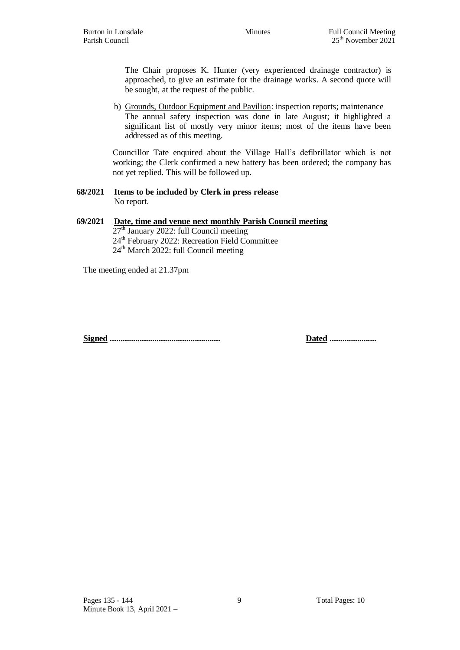The Chair proposes K. Hunter (very experienced drainage contractor) is approached, to give an estimate for the drainage works. A second quote will be sought, at the request of the public.

b) Grounds, Outdoor Equipment and Pavilion: inspection reports; maintenance The annual safety inspection was done in late August; it highlighted a significant list of mostly very minor items; most of the items have been addressed as of this meeting.

Councillor Tate enquired about the Village Hall's defibrillator which is not working; the Clerk confirmed a new battery has been ordered; the company has not yet replied. This will be followed up.

#### **68/2021 Items to be included by Clerk in press release** No report.

# **69/2021 Date, time and venue next monthly Parish Council meeting**

 $27<sup>th</sup>$  January 2022: full Council meeting 24<sup>th</sup> February 2022: Recreation Field Committee  $24<sup>th</sup>$  March 2022: full Council meeting

The meeting ended at 21.37pm

**Signed .................................................... Dated ......................**